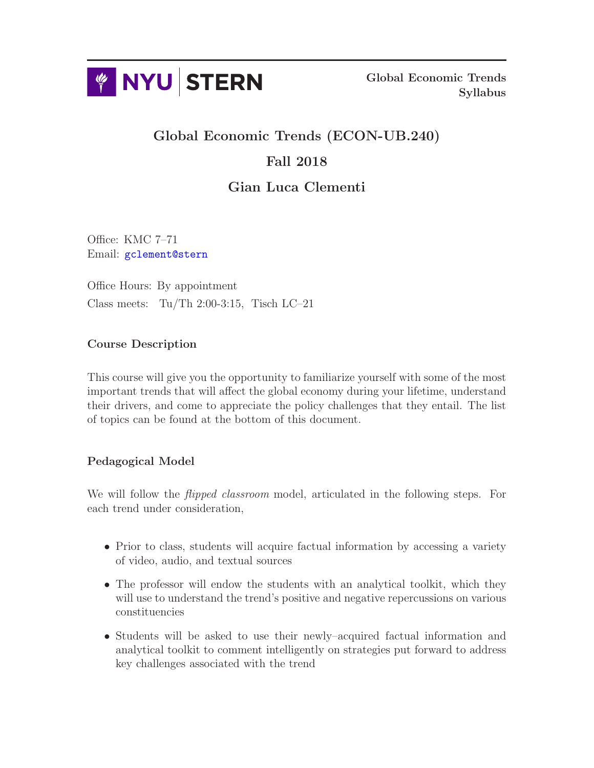

Global Economic Trends Syllabus

# Global Economic Trends (ECON-UB.240) Fall 2018

## Gian Luca Clementi

Office: KMC 7–71 Email: [gclement@stern](mailto:gclement@stern.nyu.edu)

Office Hours: By appointment Class meets: Tu/Th  $2:00-3:15$ , Tisch LC–21

### Course Description

This course will give you the opportunity to familiarize yourself with some of the most important trends that will affect the global economy during your lifetime, understand their drivers, and come to appreciate the policy challenges that they entail. The list of topics can be found at the bottom of this document.

## Pedagogical Model

We will follow the *flipped classroom* model, articulated in the following steps. For each trend under consideration,

- Prior to class, students will acquire factual information by accessing a variety of video, audio, and textual sources
- The professor will endow the students with an analytical toolkit, which they will use to understand the trend's positive and negative repercussions on various constituencies
- Students will be asked to use their newly–acquired factual information and analytical toolkit to comment intelligently on strategies put forward to address key challenges associated with the trend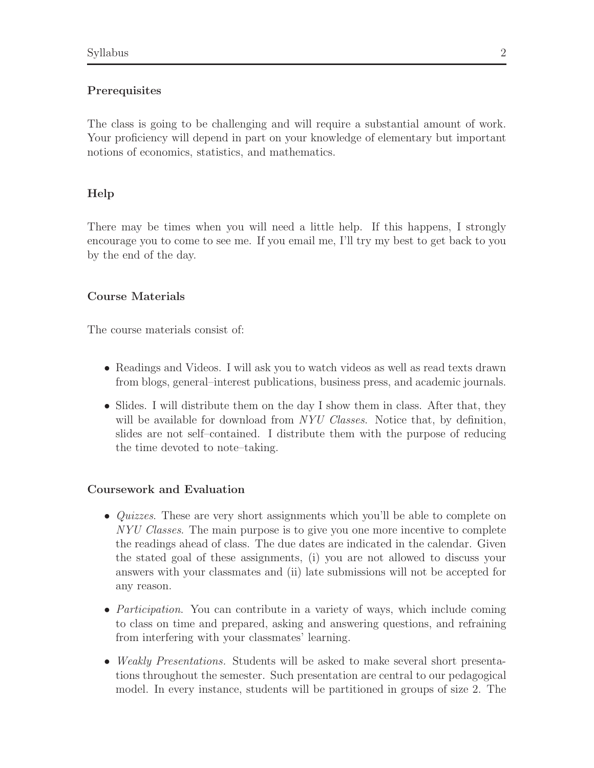#### **Prerequisites**

The class is going to be challenging and will require a substantial amount of work. Your proficiency will depend in part on your knowledge of elementary but important notions of economics, statistics, and mathematics.

#### Help

There may be times when you will need a little help. If this happens, I strongly encourage you to come to see me. If you email me, I'll try my best to get back to you by the end of the day.

#### Course Materials

The course materials consist of:

- Readings and Videos. I will ask you to watch videos as well as read texts drawn from blogs, general–interest publications, business press, and academic journals.
- Slides. I will distribute them on the day I show them in class. After that, they will be available for download from NYU Classes. Notice that, by definition, slides are not self–contained. I distribute them with the purpose of reducing the time devoted to note–taking.

#### Coursework and Evaluation

- *Quizzes*. These are very short assignments which you'll be able to complete on NYU Classes. The main purpose is to give you one more incentive to complete the readings ahead of class. The due dates are indicated in the calendar. Given the stated goal of these assignments, (i) you are not allowed to discuss your answers with your classmates and (ii) late submissions will not be accepted for any reason.
- *Participation*. You can contribute in a variety of ways, which include coming to class on time and prepared, asking and answering questions, and refraining from interfering with your classmates' learning.
- Weakly Presentations. Students will be asked to make several short presentations throughout the semester. Such presentation are central to our pedagogical model. In every instance, students will be partitioned in groups of size 2. The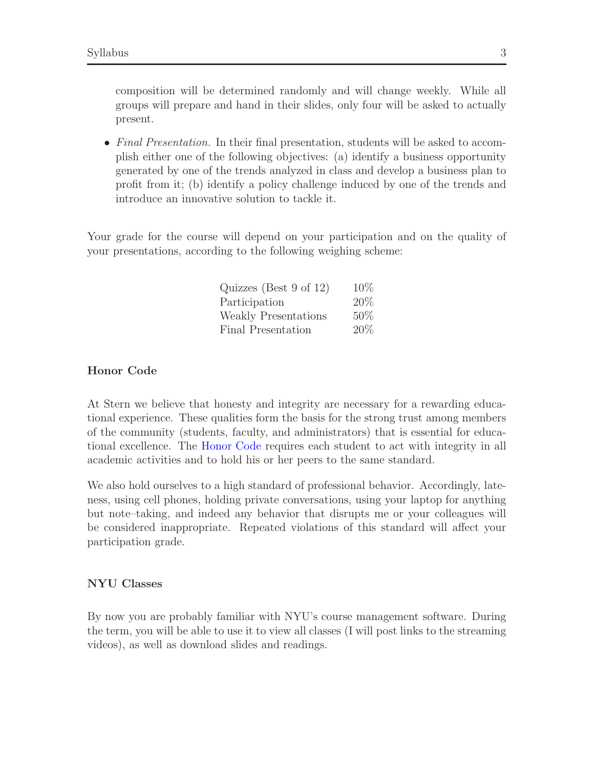composition will be determined randomly and will change weekly. While all groups will prepare and hand in their slides, only four will be asked to actually present.

• Final Presentation. In their final presentation, students will be asked to accomplish either one of the following objectives: (a) identify a business opportunity generated by one of the trends analyzed in class and develop a business plan to profit from it; (b) identify a policy challenge induced by one of the trends and introduce an innovative solution to tackle it.

Your grade for the course will depend on your participation and on the quality of your presentations, according to the following weighing scheme:

| Quizzes (Best 9 of 12)      | 10% |
|-----------------------------|-----|
| Participation               | 20% |
| <b>Weakly Presentations</b> | 50% |
| Final Presentation          | 20% |

#### Honor Code

At Stern we believe that honesty and integrity are necessary for a rewarding educational experience. These qualities form the basis for the strong trust among members of the community (students, faculty, and administrators) that is essential for educational excellence. The [Honor Code](http://www.stern.nyu.edu/sites/default/files/assets/documents/NYU_Stern_Code_of_Conduct%20Feb16.pdf) requires each student to act with integrity in all academic activities and to hold his or her peers to the same standard.

We also hold ourselves to a high standard of professional behavior. Accordingly, lateness, using cell phones, holding private conversations, using your laptop for anything but note–taking, and indeed any behavior that disrupts me or your colleagues will be considered inappropriate. Repeated violations of this standard will affect your participation grade.

#### NYU Classes

By now you are probably familiar with NYU's course management software. During the term, you will be able to use it to view all classes (I will post links to the streaming videos), as well as download slides and readings.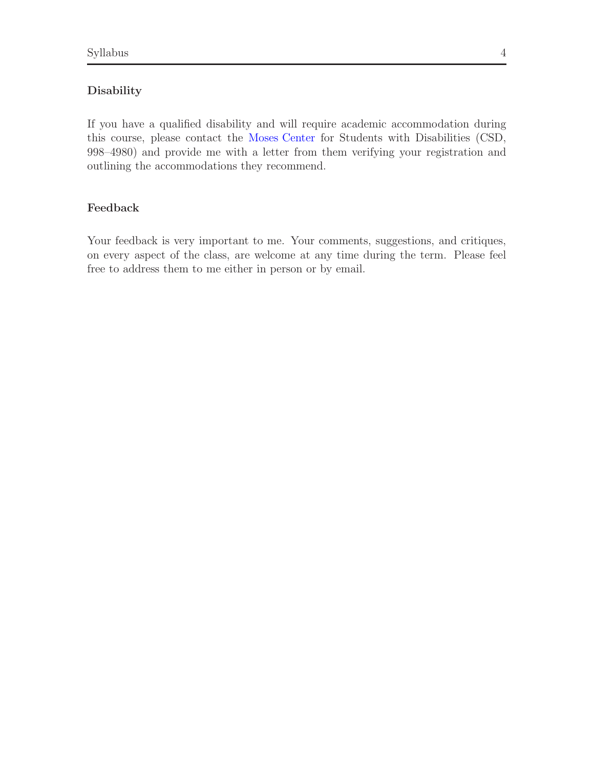#### Disability

If you have a qualified disability and will require academic accommodation during this course, please contact the [Moses Center](http://www.nyu.edu/csd/) for Students with Disabilities (CSD, 998–4980) and provide me with a letter from them verifying your registration and outlining the accommodations they recommend.

#### Feedback

Your feedback is very important to me. Your comments, suggestions, and critiques, on every aspect of the class, are welcome at any time during the term. Please feel free to address them to me either in person or by email.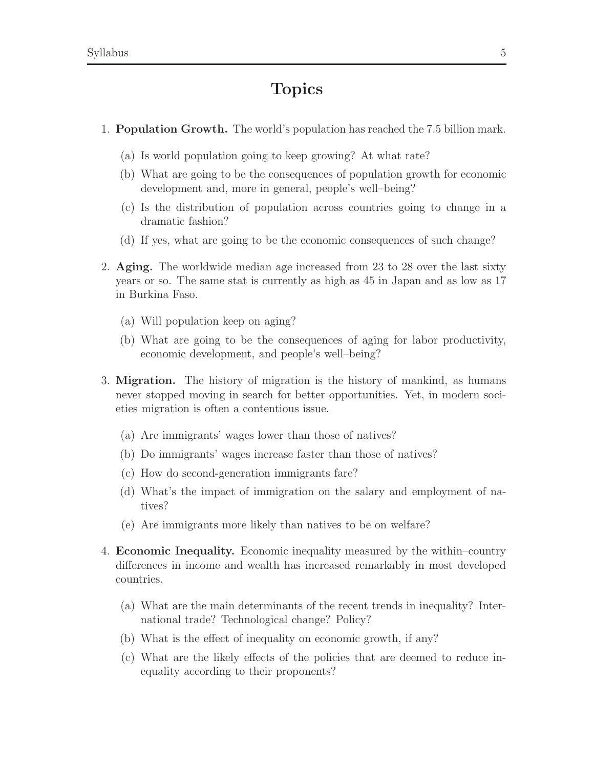# Topics

- 1. Population Growth. The world's population has reached the 7.5 billion mark.
	- (a) Is world population going to keep growing? At what rate?
	- (b) What are going to be the consequences of population growth for economic development and, more in general, people's well–being?
	- (c) Is the distribution of population across countries going to change in a dramatic fashion?
	- (d) If yes, what are going to be the economic consequences of such change?
- 2. Aging. The worldwide median age increased from 23 to 28 over the last sixty years or so. The same stat is currently as high as 45 in Japan and as low as 17 in Burkina Faso.
	- (a) Will population keep on aging?
	- (b) What are going to be the consequences of aging for labor productivity, economic development, and people's well–being?
- 3. Migration. The history of migration is the history of mankind, as humans never stopped moving in search for better opportunities. Yet, in modern societies migration is often a contentious issue.
	- (a) Are immigrants' wages lower than those of natives?
	- (b) Do immigrants' wages increase faster than those of natives?
	- (c) How do second-generation immigrants fare?
	- (d) What's the impact of immigration on the salary and employment of natives?
	- (e) Are immigrants more likely than natives to be on welfare?
- 4. Economic Inequality. Economic inequality measured by the within–country differences in income and wealth has increased remarkably in most developed countries.
	- (a) What are the main determinants of the recent trends in inequality? International trade? Technological change? Policy?
	- (b) What is the effect of inequality on economic growth, if any?
	- (c) What are the likely effects of the policies that are deemed to reduce inequality according to their proponents?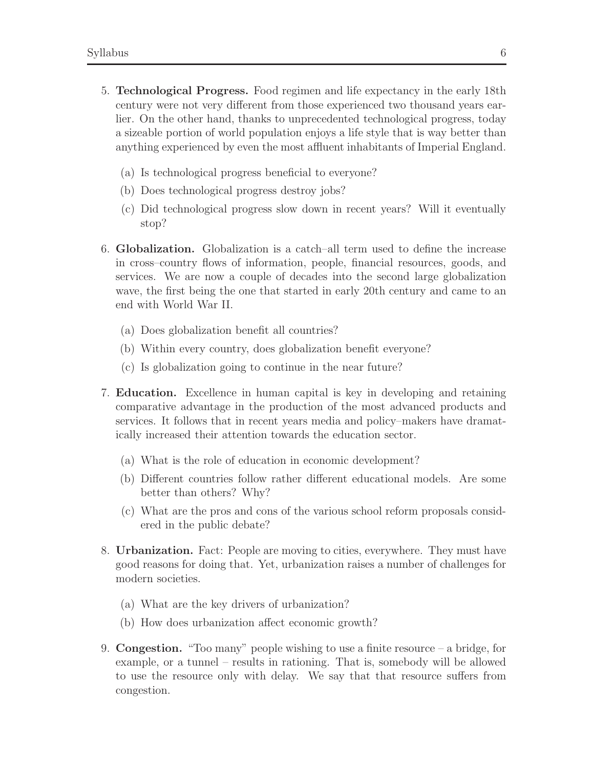- 5. Technological Progress. Food regimen and life expectancy in the early 18th century were not very different from those experienced two thousand years earlier. On the other hand, thanks to unprecedented technological progress, today a sizeable portion of world population enjoys a life style that is way better than anything experienced by even the most affluent inhabitants of Imperial England.
	- (a) Is technological progress beneficial to everyone?
	- (b) Does technological progress destroy jobs?
	- (c) Did technological progress slow down in recent years? Will it eventually stop?
- 6. Globalization. Globalization is a catch–all term used to define the increase in cross–country flows of information, people, financial resources, goods, and services. We are now a couple of decades into the second large globalization wave, the first being the one that started in early 20th century and came to an end with World War II.
	- (a) Does globalization benefit all countries?
	- (b) Within every country, does globalization benefit everyone?
	- (c) Is globalization going to continue in the near future?
- 7. Education. Excellence in human capital is key in developing and retaining comparative advantage in the production of the most advanced products and services. It follows that in recent years media and policy–makers have dramatically increased their attention towards the education sector.
	- (a) What is the role of education in economic development?
	- (b) Different countries follow rather different educational models. Are some better than others? Why?
	- (c) What are the pros and cons of the various school reform proposals considered in the public debate?
- 8. Urbanization. Fact: People are moving to cities, everywhere. They must have good reasons for doing that. Yet, urbanization raises a number of challenges for modern societies.
	- (a) What are the key drivers of urbanization?
	- (b) How does urbanization affect economic growth?
- 9. **Congestion.** "Too many" people wishing to use a finite resource  $-$  a bridge, for example, or a tunnel – results in rationing. That is, somebody will be allowed to use the resource only with delay. We say that that resource suffers from congestion.